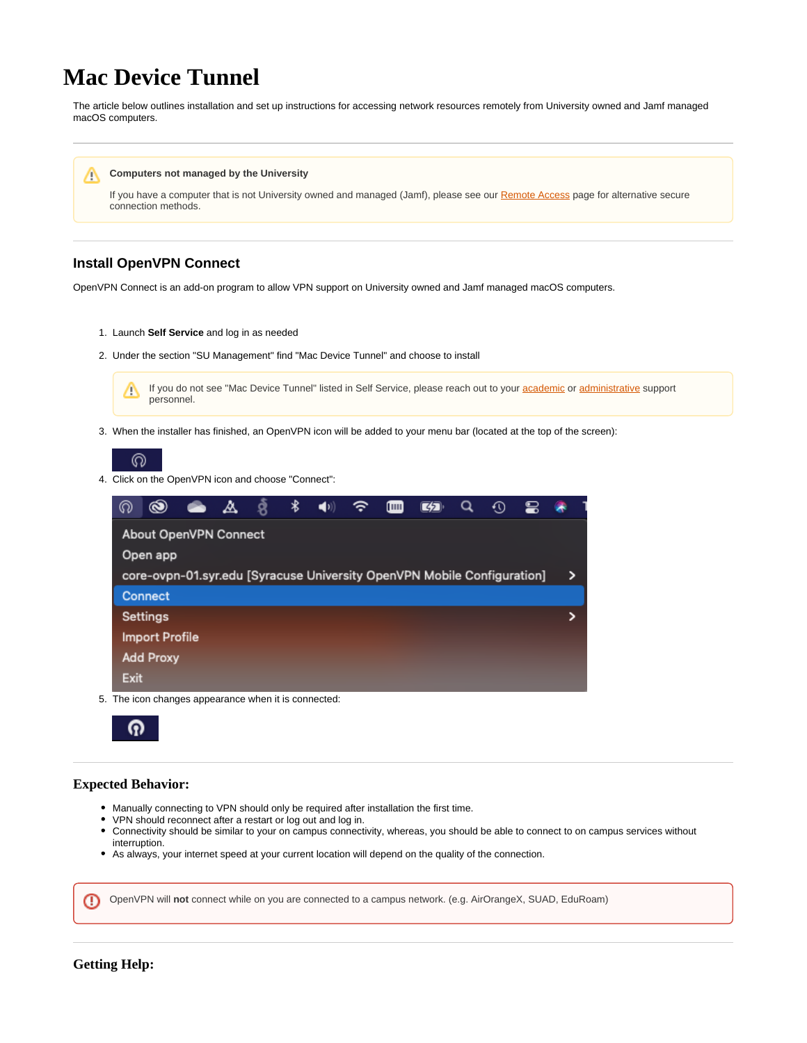## **Mac Device Tunnel**

The article below outlines installation and set up instructions for accessing network resources remotely from University owned and Jamf managed macOS computers.



## **Install OpenVPN Connect**

OpenVPN Connect is an add-on program to allow VPN support on University owned and Jamf managed macOS computers.

- 1. Launch **Self Service** and log in as needed
- 2. Under the section "SU Management" find "Mac Device Tunnel" and choose to install



3. When the installer has finished, an OpenVPN icon will be added to your menu bar (located at the top of the screen):



4. Click on the OpenVPN icon and choose "Connect":

| ര                                                                       | $\circledast$ |  | ◬ |  | ∗ |  |  |  |  |  |  |  |   |
|-------------------------------------------------------------------------|---------------|--|---|--|---|--|--|--|--|--|--|--|---|
| About OpenVPN Connect                                                   |               |  |   |  |   |  |  |  |  |  |  |  |   |
| Open app                                                                |               |  |   |  |   |  |  |  |  |  |  |  |   |
| core-ovpn-01.syr.edu [Syracuse University OpenVPN Mobile Configuration] |               |  |   |  |   |  |  |  |  |  |  |  | > |
| Connect                                                                 |               |  |   |  |   |  |  |  |  |  |  |  |   |
| Settings                                                                |               |  |   |  |   |  |  |  |  |  |  |  |   |
| <b>Import Profile</b>                                                   |               |  |   |  |   |  |  |  |  |  |  |  |   |
| <b>Add Proxy</b>                                                        |               |  |   |  |   |  |  |  |  |  |  |  |   |
| <b>Exit</b>                                                             |               |  |   |  |   |  |  |  |  |  |  |  |   |

5. The icon changes appearance when it is connected:



## **Expected Behavior:**

- Manually connecting to VPN should only be required after installation the first time.
- VPN should reconnect after a restart or log out and log in.
- Connectivity should be similar to your on campus connectivity, whereas, you should be able to connect to on campus services without interruption.
- As always, your internet speed at your current location will depend on the quality of the connection.

OpenVPN will **not** connect while on you are connected to a campus network. (e.g. AirOrangeX, SUAD, EduRoam)ന